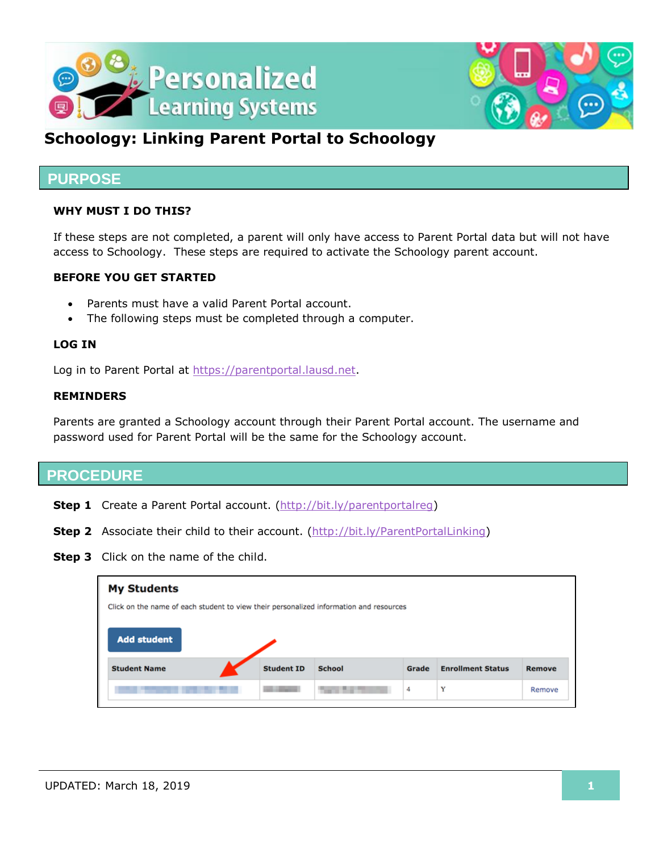



## **Schoology: Linking Parent Portal to Schoology**

## **PURPOSE**

#### **WHY MUST I DO THIS?**

If these steps are not completed, a parent will only have access to Parent Portal data but will not have access to Schoology. These steps are required to activate the Schoology parent account.

#### **BEFORE YOU GET STARTED**

- Parents must have a valid Parent Portal account.
- The following steps must be completed through a computer.

#### **LOG IN**

Log in to Parent Portal at [https://parentportal.lausd.net.](https://parentportal.lausd.net/)

#### **REMINDERS**

Parents are granted a Schoology account through their Parent Portal account. The username and password used for Parent Portal will be the same for the Schoology account.

### **PROCEDURE**

- **Step 1** Create a Parent Portal account. [\(http://bit.ly/parentportalreg\)](http://bit.ly/parentportalreg)
- **Step 2** Associate their child to their account. [\(http://bit.ly/ParentPortalLinking\)](http://bit.ly/ParentPortalLinking)
- **Step 3** Click on the name of the child.

| <b>My Students</b>                                                                     |                   |               |       |                          |        |
|----------------------------------------------------------------------------------------|-------------------|---------------|-------|--------------------------|--------|
| Click on the name of each student to view their personalized information and resources |                   |               |       |                          |        |
| <b>Add student</b>                                                                     |                   |               |       |                          |        |
| <b>Student Name</b>                                                                    | <b>Student ID</b> | <b>School</b> | Grade | <b>Enrollment Status</b> | Remove |
|                                                                                        |                   |               | 4     | Y                        | Remove |